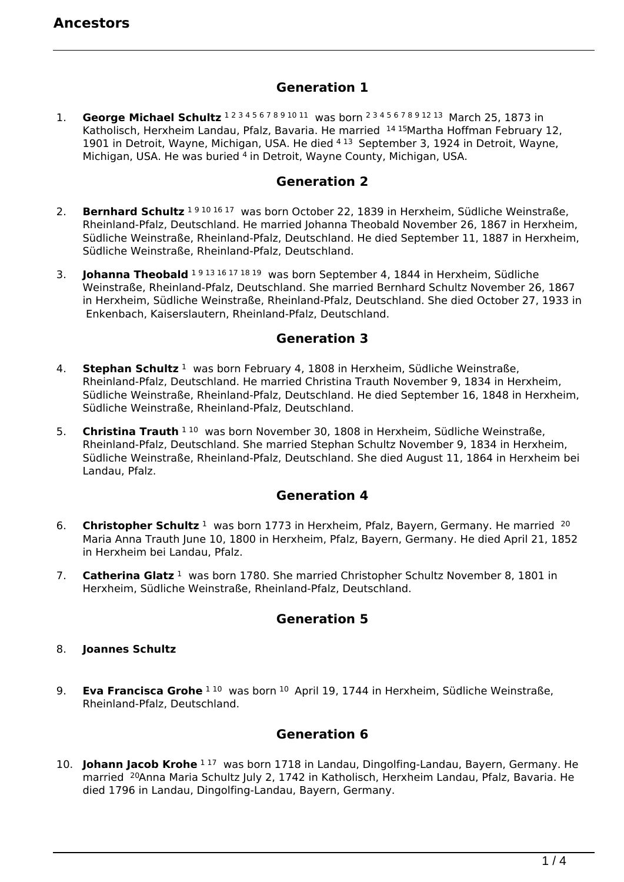## **Generation 1**

1. **George Michael Schultz** 1 2 3 4 5 6 7 8 9 10 11 was born 2 3 4 5 6 7 8 9 12 13 March 25, 1873 in Katholisch, Herxheim Landau, Pfalz, Bavaria. He married <sup>14 15</sup> Martha Hoffman February 12, 1901 in Detroit, Wayne, Michigan, USA. He died 4 13 September 3, 1924 in Detroit, Wayne, Michigan, USA. He was buried 4 in Detroit, Wayne County, Michigan, USA.

#### **Generation 2**

- 2. **Bernhard Schultz** 19101617 was born October 22, 1839 in Herxheim, Südliche Weinstraße, Rheinland-Pfalz, Deutschland. He married Johanna Theobald November 26, 1867 in Herxheim, Südliche Weinstraße, Rheinland-Pfalz, Deutschland. He died September 11, 1887 in Herxheim, Südliche Weinstraße, Rheinland-Pfalz, Deutschland.
- 3. **Johanna Theobald** 1 9 13 16 17 18 19 was born September 4, 1844 in Herxheim, Südliche Weinstraße, Rheinland-Pfalz, Deutschland. She married Bernhard Schultz November 26, 1867 in Herxheim, Südliche Weinstraße, Rheinland-Pfalz, Deutschland. She died October 27, 1933 in Enkenbach, Kaiserslautern, Rheinland-Pfalz, Deutschland.

## **Generation 3**

- 4. **Stephan Schultz** 1 was born February 4, 1808 in Herxheim, Südliche Weinstraße, Rheinland-Pfalz, Deutschland. He married Christina Trauth November 9, 1834 in Herxheim, Südliche Weinstraße, Rheinland-Pfalz, Deutschland. He died September 16, 1848 in Herxheim, Südliche Weinstraße, Rheinland-Pfalz, Deutschland.
- 5. **Christina Trauth** 1 <sup>10</sup> was born November 30, 1808 in Herxheim, Südliche Weinstraße, Rheinland-Pfalz, Deutschland. She married Stephan Schultz November 9, 1834 in Herxheim, Südliche Weinstraße, Rheinland-Pfalz, Deutschland. She died August 11, 1864 in Herxheim bei Landau, Pfalz.

# **Generation 4**

- 6. Christopher Schultz<sup>1</sup> was born 1773 in Herxheim, Pfalz, Bayern, Germany. He married <sup>20</sup> Maria Anna Trauth June 10, 1800 in Herxheim, Pfalz, Bayern, Germany. He died April 21, 1852 in Herxheim bei Landau, Pfalz.
- 7. **Catherina Glatz** <sup>1</sup> was born 1780. She married Christopher Schultz November 8, 1801 in Herxheim, Südliche Weinstraße, Rheinland-Pfalz, Deutschland.

## **Generation 5**

- 8. **Joannes Schultz**
- 9. **Eva Francisca Grohe** <sup>1 10</sup> was born <sup>10</sup> April 19, 1744 in Herxheim, Südliche Weinstraße, Rheinland-Pfalz, Deutschland.

# **Generation 6**

10. **Johann Jacob Krohe** 1<sup>17</sup> was born 1718 in Landau, Dingolfing-Landau, Bayern, Germany. He married <sup>20</sup>Anna Maria Schultz July 2, 1742 in Katholisch, Herxheim Landau, Pfalz, Bavaria. He died 1796 in Landau, Dingolfing-Landau, Bayern, Germany.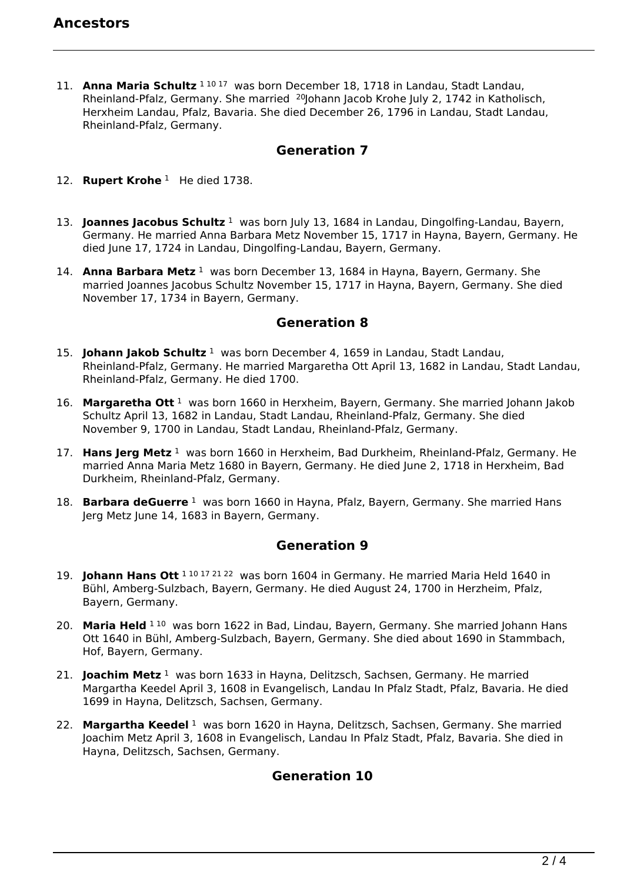11. **Anna Maria Schultz** <sup>1 10 17</sup> was born December 18, 1718 in Landau, Stadt Landau, Rheinland-Pfalz, Germany. She married <sup>20</sup>Johann Jacob Krohe July 2, 1742 in Katholisch, Herxheim Landau, Pfalz, Bavaria. She died December 26, 1796 in Landau, Stadt Landau, Rheinland-Pfalz, Germany.

## **Generation 7**

- 12. **Rupert Krohe**<sup>1</sup> He died 1738.
- 13. **Joannes Jacobus Schultz**<sup>1</sup> was born July 13, 1684 in Landau, Dingolfing-Landau, Bayern, Germany. He married Anna Barbara Metz November 15, 1717 in Hayna, Bayern, Germany. He died June 17, 1724 in Landau, Dingolfing-Landau, Bayern, Germany.
- 14. **Anna Barbara Metz** <sup>1</sup> was born December 13, 1684 in Hayna, Bayern, Germany. She married Joannes Jacobus Schultz November 15, 1717 in Hayna, Bayern, Germany. She died November 17, 1734 in Bayern, Germany.

## **Generation 8**

- 15. **Johann Jakob Schultz** <sup>1</sup> was born December 4, 1659 in Landau, Stadt Landau, Rheinland-Pfalz, Germany. He married Margaretha Ott April 13, 1682 in Landau, Stadt Landau, Rheinland-Pfalz, Germany. He died 1700.
- 16. **Margaretha Ott** <sup>1</sup> was born 1660 in Herxheim, Bayern, Germany. She married Johann Jakob Schultz April 13, 1682 in Landau, Stadt Landau, Rheinland-Pfalz, Germany. She died November 9, 1700 in Landau, Stadt Landau, Rheinland-Pfalz, Germany.
- 17. **Hans Jerg Metz** <sup>1</sup> was born 1660 in Herxheim, Bad Durkheim, Rheinland-Pfalz, Germany. He married Anna Maria Metz 1680 in Bayern, Germany. He died June 2, 1718 in Herxheim, Bad Durkheim, Rheinland-Pfalz, Germany.
- 18. **Barbara deGuerre** 1 was born 1660 in Hayna, Pfalz, Bayern, Germany. She married Hans Jerg Metz June 14, 1683 in Bayern, Germany.

# **Generation 9**

- 19. **Johann Hans Ott** 1 <sup>10 17 21 22</sup> was born 1604 in Germany. He married Maria Held 1640 in Bühl, Amberg-Sulzbach, Bayern, Germany. He died August 24, 1700 in Herzheim, Pfalz, Bayern, Germany.
- 20. **Maria Held** <sup>1 10</sup> was born 1622 in Bad, Lindau, Bayern, Germany. She married Johann Hans Ott 1640 in Bühl, Amberg-Sulzbach, Bayern, Germany. She died about 1690 in Stammbach, Hof, Bayern, Germany.
- 21. **Joachim Metz** <sup>1</sup> was born 1633 in Hayna, Delitzsch, Sachsen, Germany. He married Margartha Keedel April 3, 1608 in Evangelisch, Landau In Pfalz Stadt, Pfalz, Bavaria. He died 1699 in Hayna, Delitzsch, Sachsen, Germany.
- 22. **Margartha Keedel** <sup>1</sup> was born 1620 in Hayna, Delitzsch, Sachsen, Germany. She married Joachim Metz April 3, 1608 in Evangelisch, Landau In Pfalz Stadt, Pfalz, Bavaria. She died in Hayna, Delitzsch, Sachsen, Germany.

# **Generation 10**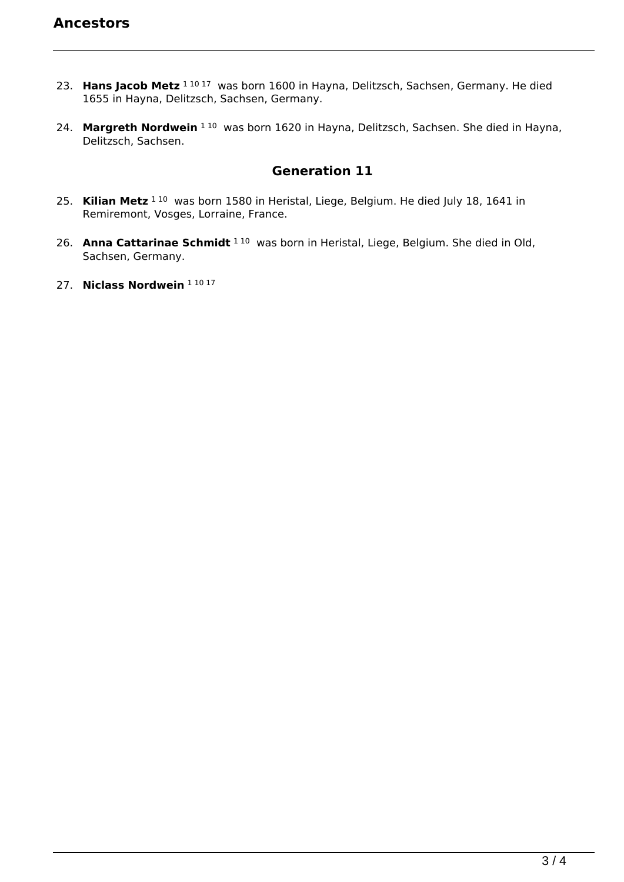- 23. **Hans Jacob Metz** 1 10 17 was born 1600 in Hayna, Delitzsch, Sachsen, Germany. He died 1655 in Hayna, Delitzsch, Sachsen, Germany.
- 24. **Margreth Nordwein** 1 <sup>10</sup> was born 1620 in Hayna, Delitzsch, Sachsen. She died in Hayna, Delitzsch, Sachsen.

# **Generation 11**

- 25. Kilian Metz<sup>110</sup> was born 1580 in Heristal, Liege, Belgium. He died July 18, 1641 in Remiremont, Vosges, Lorraine, France.
- 26. **Anna Cattarinae Schmidt** <sup>1 10</sup> was born in Heristal, Liege, Belgium. She died in Old, Sachsen, Germany.
- 27. **Niclass Nordwein** 1 10 17